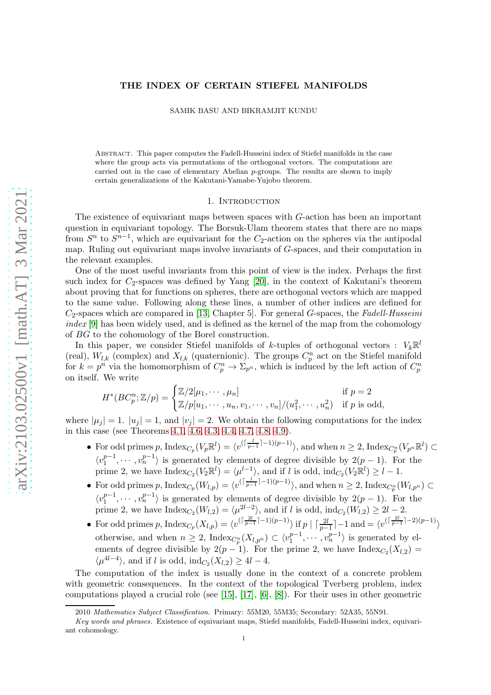# THE INDEX OF CERTAIN STIEFEL MANIFOLDS

SAMIK BASU AND BIKRAMJIT KUNDU

Abstract. This paper computes the Fadell-Husseini index of Stiefel manifolds in the case where the group acts via permutations of the orthogonal vectors. The computations are carried out in the case of elementary Abelian p-groups. The results are shown to imply certain generalizations of the Kakutani-Yamabe-Yujobo theorem.

### 1. INTRODUCTION

The existence of equivariant maps between spaces with G-action has been an important question in equivariant topology. The Borsuk-Ulam theorem states that there are no maps from  $S<sup>n</sup>$  to  $S<sup>n-1</sup>$ , which are equivariant for the  $C_2$ -action on the spheres via the antipodal map. Ruling out equivariant maps involve invariants of G-spaces, and their computation in the relevant examples.

One of the most useful invariants from this point of view is the index. Perhaps the first such index for  $C_2$ -spaces was defined by Yang [\[20\]](#page-16-0), in the context of Kakutani's theorem about proving that for functions on spheres, there are orthogonal vectors which are mapped to the same value. Following along these lines, a number of other indices are defined for C2-spaces which are compared in [\[13,](#page-16-1) Chapter 5]. For general G-spaces, the *Fadell-Husseini index* [\[9\]](#page-16-2) has been widely used, and is defined as the kernel of the map from the cohomology of BG to the cohomology of the Borel construction.

In this paper, we consider Stiefel manifolds of k-tuples of orthogonal vectors :  $V_k \mathbb{R}^l$ (real),  $W_{l,k}$  (complex) and  $X_{l,k}$  (quaternionic). The groups  $C_p^n$  act on the Stiefel manifold for  $k = p^n$  via the homomorphism of  $C_p^n \to \Sigma_{p^n}$ , which is induced by the left action of  $C_p^n$ on itself. We write

$$
H^*(BC_p^n; \mathbb{Z}/p) = \begin{cases} \mathbb{Z}/2[\mu_1, \cdots, \mu_n] & \text{if } p = 2\\ \mathbb{Z}/p[u_1, \cdots, u_n, v_1, \cdots, v_n]/(u_1^2, \cdots, u_n^2) & \text{if } p \text{ is odd}, \end{cases}
$$

where  $|\mu_i| = 1$ .  $|u_i| = 1$ , and  $|v_i| = 2$ . We obtain the following computations for the index in this case (see Theorems [4.1,](#page-6-0) [4.6,](#page-9-0) [4.3,](#page-8-0) [4.4,](#page-8-1) [4.7,](#page-10-0) [4.8,](#page-11-0) [4.9\)](#page-12-0).

- For odd primes p,  $\text{Index}_{C_p}(V_p \mathbb{R}^l) = \langle v^{(\lceil \frac{l}{p-1} \rceil 1)(p-1)} \rangle$ , and when  $n \geq 2$ ,  $\text{Index}_{C_p^n}(V_{p^n} \mathbb{R}^l) \subset$  $\stackrel{\cdot }{p}$  $\langle v_1^{p-1}$  $\binom{p-1}{1}, \cdots, \binom{p-1}{n}$  is generated by elements of degree divisible by  $2(p-1)$ . For the prime 2, we have  $\text{Index}_{C_2}(V_2 \mathbb{R}^l) = \langle \mu^{l-1} \rangle$ , and if l is odd,  $\text{ind}_{C_2}(V_2 \mathbb{R}^l) \geq l-1$ .
- For odd primes p,  $\text{Index}_{C_p}(W_{l,p}) = \langle v^{(\lceil \frac{l}{p-1} \rceil-1)(p-1)} \rangle$ , and when  $n \geq 2$ ,  $\text{Index}_{C_p^n}(W_{l,p^n}) \subset$  $\langle v_1^{p-1}$  $\binom{p-1}{1}, \cdots, \binom{p-1}{n}$  is generated by elements of degree divisible by  $2(p-1)$ . For the prime 2, we have  $\text{Index}_{C_2}(W_{l,2}) = \langle \mu^{2l-2} \rangle$ , and if l is odd,  $\text{ind}_{C_2}(W_{l,2}) \geq 2l-2$ .
- For odd primes p,  $\text{Index}_{C_p}(X_{l,p}) = \langle v^{\left(\lceil \frac{2l}{p-1} \rceil 1\right)(p-1)} \rangle$  if  $p \mid \lceil \frac{2l}{p-1} \rceil 1$  and  $= \langle v^{\left(\lceil \frac{2l}{p-1} \rceil 2\right)(p-1)} \rangle$ otherwise, and when  $n \geq 2$ , Index $_{C_p^n}(X_{l,p^n}) \subset \langle v_1^{p-1}, \cdots, v_n^{p-1} \rangle$  is generated by el $p^n(\Lambda^n, p^n) \subseteq \setminus V_1$ ements of degree divisible by  $2(p-1)$ . For the prime 2, we have  $\text{Index}_{C_2}(X_{l,2}) =$  $\langle \mu^{4l-4} \rangle$ , and if l is odd, ind<sub>C2</sub>(X<sub>l,2</sub>) ≥ 4l – 4.

The computation of the index is usually done in the context of a concrete problem with geometric consequences. In the context of the topological Tverberg problem, index computations played a crucial role (see  $[15]$ ,  $[17]$ ,  $[6]$ ,  $[8]$ ). For their uses in other geometric

<sup>2010</sup> *Mathematics Subject Classification.* Primary: 55M20, 55M35; Secondary: 52A35, 55N91.

*Key words and phrases.* Existence of equivariant maps, Stiefel manifolds, Fadell-Husseini index, equivariant cohomology.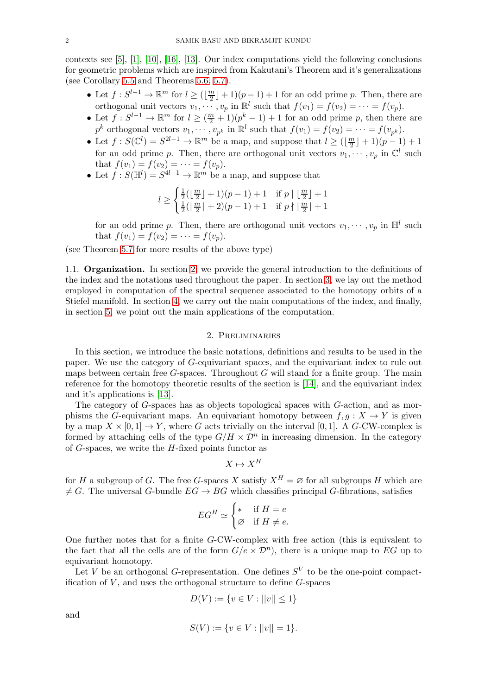contexts see [\[5\]](#page-16-7), [\[1\]](#page-16-8), [\[10\]](#page-16-9), [\[16\]](#page-16-10), [\[13\]](#page-16-1). Our index computations yield the following conclusions for geometric problems which are inspired from Kakutani's Theorem and it's generalizations (see Corollary [5.5](#page-14-0) and Theorems [5.6,](#page-14-1) [5.7\)](#page-15-0).

- Let  $f: S^{l-1} \to \mathbb{R}^m$  for  $l \geq (\lfloor \frac{m}{2} \rfloor)^m$  $\lfloor \frac{m}{2} \rfloor + 1$  ( $p - 1$ ) + 1 for an odd prime p. Then, there are orthogonal unit vectors  $v_1, \dots, v_p$  in  $\mathbb{R}^l$  such that  $f(v_1) = f(v_2) = \dots = f(v_p)$ .
- Let  $f: S^{l-1} \to \mathbb{R}^m$  for  $l \geq (\frac{m}{2} + 1)(p^k 1) + 1$  for an odd prime p, then there are  $p^k$  orthogonal vectors  $v_1, \dots, v_{p^k}$  in  $\mathbb{R}^l$  such that  $f(v_1) = f(v_2) = \dots = f(v_{p^k})$ .
- Let  $f: S(\mathbb{C}^l) = S^{2l-1} \to \mathbb{R}^m$  be a map, and suppose that  $l \geq (\lfloor \frac{m}{2} \rfloor)^m$  $\frac{n}{2}$ ] + 1)(p-1) + 1 for an odd prime p. Then, there are orthogonal unit vectors  $v_1, \dots, v_p$  in  $\mathbb{C}^l$  such that  $f(v_1) = f(v_2) = \cdots = f(v_p)$ .
- Let  $f: S(\mathbb{H}^l) = S^{4l-1} \to \mathbb{R}^m$  be a map, and suppose that

$$
l \ge \begin{cases} \frac{1}{2}(\lfloor \frac{m}{2} \rfloor + 1)(p - 1) + 1 & \text{if } p \mid \lfloor \frac{m}{2} \rfloor + 1\\ \frac{1}{2}(\lfloor \frac{m}{2} \rfloor + 2)(p - 1) + 1 & \text{if } p \nmid \lfloor \frac{m}{2} \rfloor + 1 \end{cases}
$$

for an odd prime p. Then, there are orthogonal unit vectors  $v_1, \dots, v_p$  in  $\mathbb{H}^l$  such that  $f(v_1) = f(v_2) = \cdots = f(v_p)$ .

(see Theorem [5.7](#page-15-0) for more results of the above type)

1.1. Organization. In section [2,](#page-1-0) we provide the general introduction to the definitions of the index and the notations used throughout the paper. In section [3,](#page-4-0) we lay out the method employed in computation of the spectral sequence associated to the homotopy orbits of a Stiefel manifold. In section [4,](#page-6-1) we carry out the main computations of the index, and finally, in section [5,](#page-12-1) we point out the main applications of the computation.

### 2. Preliminaries

<span id="page-1-0"></span>In this section, we introduce the basic notations, definitions and results to be used in the paper. We use the category of G-equivariant spaces, and the equivariant index to rule out maps between certain free  $G$ -spaces. Throughout  $G$  will stand for a finite group. The main reference for the homotopy theoretic results of the section is [\[14\]](#page-16-11), and the equivariant index and it's applications is [\[13\]](#page-16-1).

The category of G-spaces has as objects topological spaces with G-action, and as morphisms the G-equivariant maps. An equivariant homotopy between  $f, g: X \to Y$  is given by a map  $X \times [0,1] \to Y$ , where G acts trivially on the interval [0, 1]. A G-CW-complex is formed by attaching cells of the type  $G/H \times \mathcal{D}^n$  in increasing dimension. In the category of  $G$ -spaces, we write the  $H$ -fixed points functor as

$$
X \mapsto X^H
$$

for H a subgroup of G. The free G-spaces X satisfy  $X^H = \emptyset$  for all subgroups H which are  $\neq G$ . The universal G-bundle  $EG \rightarrow BG$  which classifies principal G-fibrations, satisfies

$$
EG^H \simeq \begin{cases} * & \text{if } H = e \\ \varnothing & \text{if } H \neq e. \end{cases}
$$

One further notes that for a finite G-CW-complex with free action (this is equivalent to the fact that all the cells are of the form  $G/e \times \mathcal{D}^n$ , there is a unique map to EG up to equivariant homotopy.

Let V be an orthogonal G-representation. One defines  $S^V$  to be the one-point compactification of  $V$ , and uses the orthogonal structure to define  $G$ -spaces

$$
D(V) := \{ v \in V : ||v|| \le 1 \}
$$

and

$$
S(V) := \{ v \in V : ||v|| = 1 \}.
$$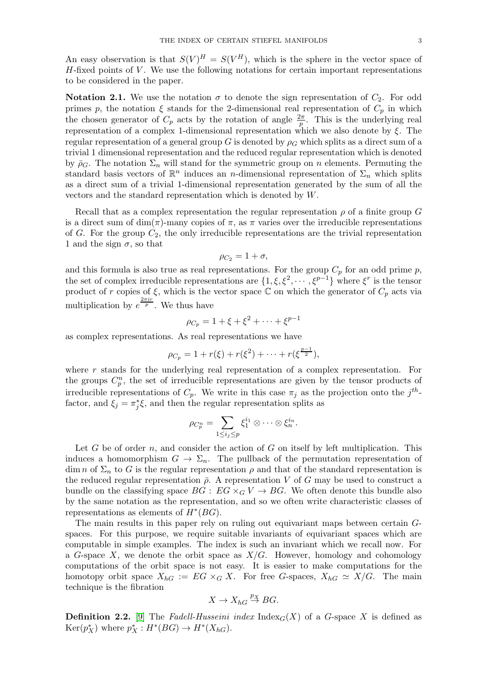An easy observation is that  $S(V)^H = S(V^H)$ , which is the sphere in the vector space of  $H$ -fixed points of  $V$ . We use the following notations for certain important representations to be considered in the paper.

**Notation 2.1.** We use the notation  $\sigma$  to denote the sign representation of  $C_2$ . For odd primes p, the notation  $\xi$  stands for the 2-dimensional real representation of  $C_p$  in which the chosen generator of  $C_p$  acts by the rotation of angle  $\frac{2\pi}{p}$ . This is the underlying real representation of a complex 1-dimensional representation which we also denote by  $\xi$ . The regular representation of a general group G is denoted by  $\rho_G$  which splits as a direct sum of a trivial 1 dimensional representation and the reduced regular representation which is denoted by  $\bar{p}_G$ . The notation  $\Sigma_n$  will stand for the symmetric group on n elements. Permuting the standard basis vectors of  $\mathbb{R}^n$  induces an *n*-dimensional representation of  $\Sigma_n$  which splits as a direct sum of a trivial 1-dimensional representation generated by the sum of all the vectors and the standard representation which is denoted by W.

Recall that as a complex representation the regular representation  $\rho$  of a finite group G is a direct sum of dim( $\pi$ )-many copies of  $\pi$ , as  $\pi$  varies over the irreducible representations of G. For the group  $C_2$ , the only irreducible representations are the trivial representation 1 and the sign  $\sigma$ , so that

$$
\rho_{C_2}=1+\sigma,
$$

and this formula is also true as real representations. For the group  $C_p$  for an odd prime p, the set of complex irreducible representations are  $\{1, \xi, \xi^2, \dots, \xi^{p-1}\}\$  where  $\xi^r$  is the tensor product of r copies of  $\xi$ , which is the vector space C on which the generator of  $C_p$  acts via multiplication by  $e^{\frac{2\pi ir}{p}}$ . We thus have

$$
\rho_{C_p} = 1 + \xi + \xi^2 + \dots + \xi^{p-1}
$$

as complex representations. As real representations we have

$$
\rho_{C_p} = 1 + r(\xi) + r(\xi^2) + \cdots + r(\xi^{\frac{p-1}{2}}),
$$

where  $r$  stands for the underlying real representation of a complex representation. For the groups  $C_p^n$ , the set of irreducible representations are given by the tensor products of irreducible representations of  $C_p$ . We write in this case  $\pi_j$  as the projection onto the  $j^{th}$ factor, and  $\xi_j = \pi_j^* \xi$ , and then the regular representation splits as

$$
\rho_{C_p^n} = \sum_{1 \leq i_j \leq p} \xi_1^{i_1} \otimes \cdots \otimes \xi_n^{i_n}.
$$

Let G be of order n, and consider the action of G on itself by left multiplication. This induces a homomorphism  $G \to \Sigma_n$ . The pullback of the permutation representation of dim n of  $\Sigma_n$  to G is the regular representation  $\rho$  and that of the standard representation is the reduced regular representation  $\bar{\rho}$ . A representation V of G may be used to construct a bundle on the classifying space  $BG : EG \times_G V \to BG$ . We often denote this bundle also by the same notation as the representation, and so we often write characteristic classes of representations as elements of  $H^*(BG)$ .

The main results in this paper rely on ruling out equivariant maps between certain Gspaces. For this purpose, we require suitable invariants of equivariant spaces which are computable in simple examples. The index is such an invariant which we recall now. For a G-space X, we denote the orbit space as  $X/G$ . However, homology and cohomology computations of the orbit space is not easy. It is easier to make computations for the homotopy orbit space  $X_{hG} := EG \times_G X$ . For free G-spaces,  $X_{hG} \simeq X/G$ . The main technique is the fibration

$$
X \to X_{hG} \stackrel{p_X}{\to} BG.
$$

**Definition 2.2.** [\[9\]](#page-16-2) The *Fadell-Husseini index*  $Index_G(X)$  of a *G*-space X is defined as  $\text{Ker}(p_X^*)$  where  $p_X^*: H^*(BG) \to H^*(X_{hG}).$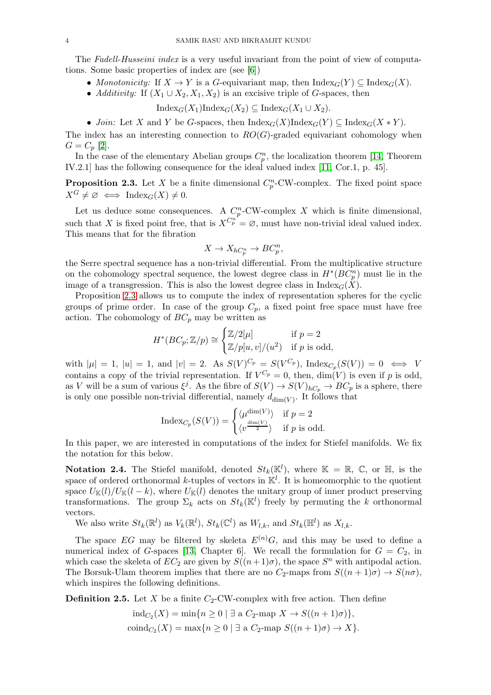The *Fadell-Husseini index* is a very useful invariant from the point of view of computations. Some basic properties of index are (see [\[6\]](#page-16-5))

• *Monotonicity:* If  $X \to Y$  is a G-equivariant map, then  $\text{Index}_G(Y) \subseteq \text{Index}_G(X)$ .

• *Additivity:* If  $(X_1 \cup X_2, X_1, X_2)$  is an excisive triple of G-spaces, then

 $\text{Index}_G(X_1)\text{Index}_G(X_2) \subseteq \text{Index}_G(X_1 \cup X_2).$ 

• *Join:* Let X and Y be G-spaces, then  $\text{Index}_G(X) \text{Index}_G(Y) \subset \text{Index}_G(X * Y)$ .

The index has an interesting connection to  $RO(G)$ -graded equivariant cohomology when  $G = C_p [2].$  $G = C_p [2].$  $G = C_p [2].$ 

In the case of the elementary Abelian groups  $C_p^n$ , the localization theorem [\[14,](#page-16-11) Theorem IV.2.1] has the following consequence for the ideal valued index [\[11,](#page-16-13) Cor.1, p. 45].

<span id="page-3-0"></span>**Proposition 2.3.** Let X be a finite dimensional  $C_p^n$ -CW-complex. The fixed point space  $X^G \neq \emptyset \iff \text{Index}_G(X) \neq 0.$ 

Let us deduce some consequences. A  $C_p^n$ -CW-complex X which is finite dimensional, such that X is fixed point free, that is  $X^{C_p^n} = \emptyset$ , must have non-trivial ideal valued index. This means that for the fibration

$$
X \to X_{hC_p^n} \to BC_p^n,
$$

the Serre spectral sequence has a non-trivial differential. From the multiplicative structure on the cohomology spectral sequence, the lowest degree class in  $H^*(BC_p^n)$  must lie in the image of a transgression. This is also the lowest degree class in  $\text{Index}_G(\hat{X})$ .

Proposition [2.3](#page-3-0) allows us to compute the index of representation spheres for the cyclic groups of prime order. In case of the group  $C_p$ , a fixed point free space must have free action. The cohomology of  $BC_p$  may be written as

$$
H^*(BC_p; \mathbb{Z}/p) \cong \begin{cases} \mathbb{Z}/2[\mu] & \text{if } p = 2\\ \mathbb{Z}/p[u, v]/(u^2) & \text{if } p \text{ is odd}, \end{cases}
$$

with  $|\mu|=1$ ,  $|u|=1$ , and  $|v|=2$ . As  $S(V)^{C_p} = S(V^{C_p})$ , Index $_{C_p}(S(V))=0 \iff V$ contains a copy of the trivial representation. If  $V^{C_p} = 0$ , then,  $\dim(V)$  is even if p is odd, as V will be a sum of various  $\xi^j$ . As the fibre of  $S(V) \to S(V)_{hC_p} \to BC_p$  is a sphere, there is only one possible non-trivial differential, namely  $d_{\dim(V)}$ . It follows that

$$
\operatorname{Index}_{C_p}(S(V)) = \begin{cases} \langle \mu^{\dim(V)} \rangle & \text{if } p = 2\\ \langle v^{\frac{\dim(V)}{2}} \rangle & \text{if } p \text{ is odd.} \end{cases}
$$

In this paper, we are interested in computations of the index for Stiefel manifolds. We fix the notation for this below.

**Notation 2.4.** The Stiefel manifold, denoted  $St_k(\mathbb{K}^l)$ , where  $\mathbb{K} = \mathbb{R}, \mathbb{C}$ , or  $\mathbb{H}$ , is the space of ordered orthonormal k-tuples of vectors in  $\mathbb{K}^l$ . It is homeomorphic to the quotient space  $U_{\mathbb{K}}(l)/U_{\mathbb{K}}(l-k)$ , where  $U_{\mathbb{K}}(l)$  denotes the unitary group of inner product preserving transformations. The group  $\Sigma_k$  acts on  $St_k(\mathbb{K}^l)$  freely by permuting the k orthonormal vectors.

We also write  $St_k(\mathbb{R}^l)$  as  $V_k(\mathbb{R}^l)$ ,  $St_k(\mathbb{C}^l)$  as  $W_{l,k}$ , and  $St_k(\mathbb{H}^l)$  as  $X_{l,k}$ .

The space EG may be filtered by skeleta  $E^{(n)}G$ , and this may be used to define a numerical index of G-spaces [\[13,](#page-16-1) Chapter 6]. We recall the formulation for  $G = C_2$ , in which case the skeleta of  $EC_2$  are given by  $S((n+1)\sigma)$ , the space  $S<sup>n</sup>$  with antipodal action. The Borsuk-Ulam theorem implies that there are no  $C_2$ -maps from  $S((n+1)\sigma) \to S(n\sigma)$ , which inspires the following definitions.

**Definition 2.5.** Let X be a finite  $C_2$ -CW-complex with free action. Then define

$$
ind_{C_2}(X) = \min\{n \ge 0 \mid \exists \text{ a } C_2\text{-map } X \to S((n+1)\sigma)\},\
$$
  
 
$$
\text{coind}_{C_2}(X) = \max\{n \ge 0 \mid \exists \text{ a } C_2\text{-map } S((n+1)\sigma) \to X\}.
$$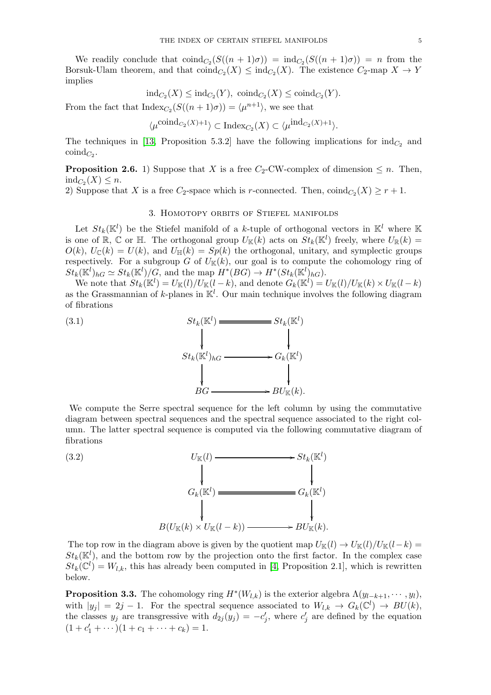We readily conclude that  $\text{coind}_{C_2}(S((n+1)\sigma)) = \text{ind}_{C_2}(S((n+1)\sigma)) = n$  from the Borsuk-Ulam theorem, and that  $\text{coind}_{C_2}(X) \leq \text{ind}_{C_2}(X)$ . The existence  $C_2$ -map  $X \to Y$ implies

$$
ind_{C_2}(X) \leq ind_{C_2}(Y), \ \text{coind}_{C_2}(X) \leq \text{coind}_{C_2}(Y).
$$

From the fact that  $\text{Index}_{C_2}(S((n+1)\sigma)) = \langle \mu^{n+1} \rangle$ , we see that

$$
\langle \mu^{\text{coind}_{C_2}(X)+1} \rangle \subset \text{Index}_{C_2}(X) \subset \langle \mu^{\text{ind}_{C_2}(X)+1} \rangle.
$$

The techniques in [\[13,](#page-16-1) Proposition 5.3.2] have the following implications for  $\text{ind}_{C_2}$  and  $\mathrm{coind}_{C_2}$ .

<span id="page-4-4"></span>**Proposition 2.6.** 1) Suppose that X is a free  $C_2$ -CW-complex of dimension  $\leq n$ . Then,  $ind_{C_2}(X) \leq n.$ 

<span id="page-4-0"></span>2) Suppose that X is a free  $C_2$ -space which is r-connected. Then,  $\text{coind}_{C_2}(X) \geq r+1$ .

# 3. Homotopy orbits of Stiefel manifolds

Let  $St_k(\mathbb{K}^l)$  be the Stiefel manifold of a k-tuple of orthogonal vectors in  $\mathbb{K}^l$  where  $\mathbb{K}$ is one of  $\mathbb{R}, \mathbb{C}$  or  $\mathbb{H}$ . The orthogonal group  $U_{\mathbb{K}}(k)$  acts on  $St_k(\mathbb{K}^l)$  freely, where  $U_{\mathbb{R}}(k)$  =  $O(k)$ ,  $U_{\mathbb{C}}(k) = U(k)$ , and  $U_{\mathbb{H}}(k) = Sp(k)$  the orthogonal, unitary, and symplectic groups respectively. For a subgroup G of  $U_{\mathbb{K}}(k)$ , our goal is to compute the cohomology ring of  $St_k(\mathbb{K}^l)_{hG} \simeq St_k(\mathbb{K}^l)/G$ , and the map  $H^*(BG) \to H^*(St_k(\mathbb{K}^l)_{hG})$ .

We note that  $St_k(\mathbb{K}^l) = U_{\mathbb{K}}(l)/U_{\mathbb{K}}(l-k)$ , and denote  $G_k(\mathbb{K}^l) = U_{\mathbb{K}}(l)/U_{\mathbb{K}}(k) \times U_{\mathbb{K}}(l-k)$ as the Grassmannian of k-planes in  $\mathbb{K}^l$ . Our main technique involves the following diagram of fibrations

<span id="page-4-2"></span>

We compute the Serre spectral sequence for the left column by using the commutative diagram between spectral sequences and the spectral sequence associated to the right column. The latter spectral sequence is computed via the following commutative diagram of fibrations

<span id="page-4-1"></span>

The top row in the diagram above is given by the quotient map  $U_{\mathbb{K}}(l) \to U_{\mathbb{K}}(l)/U_{\mathbb{K}}(l-k)$  $St_k(\mathbb{K}^l)$ , and the bottom row by the projection onto the first factor. In the complex case  $St_k(\mathbb{C}^l) = W_{l,k}$ , this has already been computed in [\[4,](#page-16-14) Proposition 2.1], which is rewritten below.

<span id="page-4-3"></span>**Proposition 3.3.** The cohomology ring  $H^*(W_{l,k})$  is the exterior algebra  $\Lambda(y_{l-k+1}, \dots, y_l)$ , with  $|y_j| = 2j - 1$ . For the spectral sequence associated to  $W_{l,k} \to G_k(\mathbb{C}^l) \to BU(k)$ , the classes  $y_j$  are transgressive with  $d_{2j}(y_j) = -c'_j$ , where  $c'_j$  are defined by the equation  $(1 + c'_1 + \cdots)(1 + c_1 + \cdots + c_k) = 1.$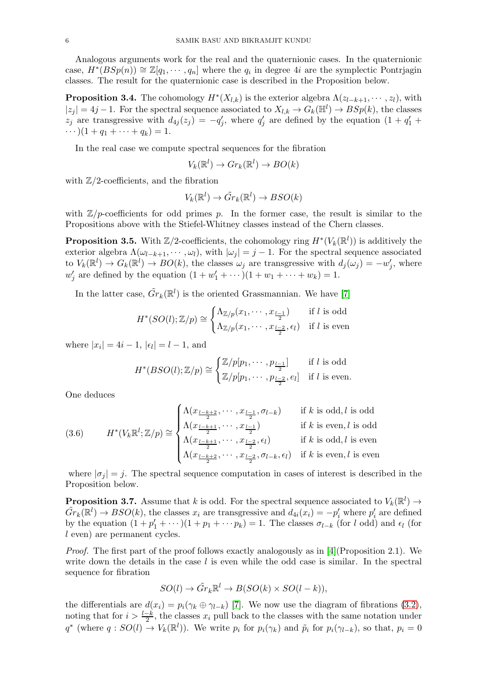Analogous arguments work for the real and the quaternionic cases. In the quaternionic case,  $H^*(BSp(n)) \cong \mathbb{Z}[q_1, \dots, q_n]$  where the  $q_i$  in degree 4i are the symplectic Pontrjagin classes. The result for the quaternionic case is described in the Proposition below.

<span id="page-5-0"></span>**Proposition 3.4.** The cohomology  $H^*(X_{l,k})$  is the exterior algebra  $\Lambda(z_{l-k+1}, \dots, z_l)$ , with  $|z_j| = 4j - 1$ . For the spectral sequence associated to  $X_{l,k} \to G_k(\mathbb{H}^l) \to BSp(k)$ , the classes  $z_j$  are transgressive with  $d_{4j}(z_j) = -q'_j$ , where  $q'_j$  are defined by the equation  $(1 + q'_1 +$  $\cdots$  ) $(1 + q_1 + \cdots + q_k) = 1.$ 

In the real case we compute spectral sequences for the fibration

$$
V_k(\mathbb{R}^l) \to Gr_k(\mathbb{R}^l) \to BO(k)
$$

with  $\mathbb{Z}/2$ -coefficients, and the fibration

$$
V_k(\mathbb{R}^l) \to \tilde{Gr}_k(\mathbb{R}^l) \to BSO(k)
$$

with  $\mathbb{Z}/p$ -coefficients for odd primes p. In the former case, the result is similar to the Propositions above with the Stiefel-Whitney classes instead of the Chern classes.

<span id="page-5-1"></span>**Proposition 3.5.** With  $\mathbb{Z}/2$ -coefficients, the cohomology ring  $H^*(V_k(\mathbb{R}^l))$  is additively the exterior algebra  $\Lambda(\omega_{l-k+1}, \dots, \omega_l)$ , with  $|\omega_j| = j - 1$ . For the spectral sequence associated to  $V_k(\mathbb{R}^l) \to G_k(\mathbb{R}^l) \to BO(k)$ , the classes  $\omega_j$  are transgressive with  $d_j(\omega_j) = -w'_j$ , where  $w'_j$  are defined by the equation  $(1 + w'_1 + \cdots)(1 + w_1 + \cdots + w_k) = 1$ .

In the latter case,  $\tilde{Gr}_k(\mathbb{R}^l)$  is the oriented Grassmannian. We have [\[7\]](#page-16-15)

$$
H^*(SO(l);\mathbb{Z}/p) \cong \begin{cases} \Lambda_{\mathbb{Z}/p}(x_1,\cdots,x_{\frac{l-1}{2}}) & \text{if } l \text{ is odd} \\ \Lambda_{\mathbb{Z}/p}(x_1,\cdots,x_{\frac{l-2}{2}},\epsilon_l) & \text{if } l \text{ is even} \end{cases}
$$

where  $|x_i| = 4i - 1$ ,  $|\epsilon_l| = l - 1$ , and

$$
H^*(BSO(l); \mathbb{Z}/p) \cong \begin{cases} \mathbb{Z}/p[p_1, \cdots, p_{\frac{l-1}{2}}] & \text{if } l \text{ is odd} \\ \mathbb{Z}/p[p_1, \cdots, p_{\frac{l-2}{2}}, e_l] & \text{if } l \text{ is even.} \end{cases}
$$

One deduces

<span id="page-5-3"></span>(3.6) 
$$
H^*(V_k \mathbb{R}^l; \mathbb{Z}/p) \cong \begin{cases} \Lambda(x_{\frac{l-k+2}{2}}, \cdots, x_{\frac{l-1}{2}}, \sigma_{l-k}) & \text{if } k \text{ is odd, } l \text{ is odd} \\ \Lambda(x_{\frac{l-k+1}{2}}, \cdots, x_{\frac{l-1}{2}}) & \text{if } k \text{ is even, } l \text{ is odd} \\ \Lambda(x_{\frac{l-k+1}{2}}, \cdots, x_{\frac{l-2}{2}}, \epsilon_l) & \text{if } k \text{ is odd, } l \text{ is even} \\ \Lambda(x_{\frac{l-k+2}{2}}, \cdots, x_{\frac{l-2}{2}}, \sigma_{l-k}, \epsilon_l) & \text{if } k \text{ is even, } l \text{ is even} \end{cases}
$$

where  $|\sigma_i| = j$ . The spectral sequence computation in cases of interest is described in the Proposition below.

<span id="page-5-2"></span>**Proposition 3.7.** Assume that k is odd. For the spectral sequence associated to  $V_k(\mathbb{R}^l) \to$  $\tilde{Gr}_k(\mathbb{R}^l) \to BSO(k)$ , the classes  $x_i$  are transgressive and  $d_{4i}(x_i) = -p'_i$  where  $p'_i$  are defined by the equation  $(1 + p'_1 + \cdots)(1 + p_1 + \cdots + p_k) = 1$ . The classes  $\sigma_{l-k}$  (for l odd) and  $\epsilon_l$  (for l even) are permanent cycles.

*Proof.* The first part of the proof follows exactly analogously as in [\[4\]](#page-16-14)(Proposition 2.1). We write down the details in the case  $l$  is even while the odd case is similar. In the spectral sequence for fibration

$$
SO(l) \to \tilde{Gr}_k \mathbb{R}^l \to B(SO(k) \times SO(l-k)),
$$

the differentials are  $d(x_i) = p_i(\gamma_k \oplus \gamma_{l-k})$  [\[7\]](#page-16-15). We now use the diagram of fibrations [\(3.2\)](#page-4-1), noting that for  $i > \frac{l-k}{2}$ , the classes  $x_i$  pull back to the classes with the same notation under  $q^*$  (where  $q:SO(l) \to V_k(\mathbb{R}^l)$ ). We write  $p_i$  for  $p_i(\gamma_k)$  and  $\tilde{p}_i$  for  $p_i(\gamma_{l-k})$ , so that,  $p_i = 0$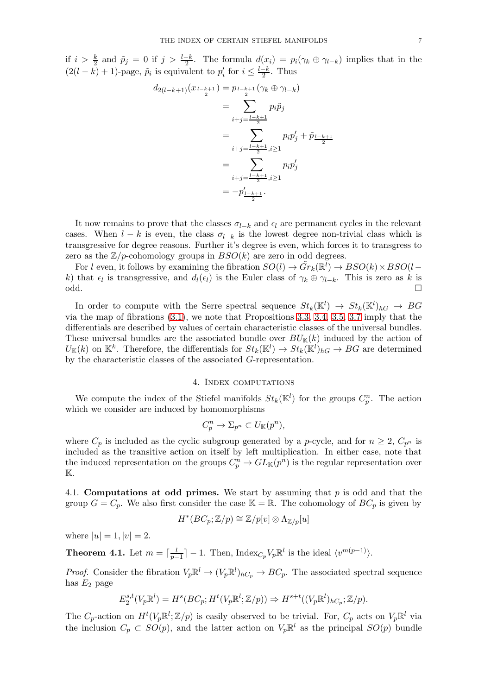if  $i > \frac{k}{2}$  and  $\tilde{p}_j = 0$  if  $j > \frac{l-k}{2}$ . The formula  $d(x_i) = p_i(\gamma_k \oplus \gamma_{l-k})$  implies that in the  $(2(l - k) + 1)$ -page,  $\tilde{p}_i$  is equivalent to  $p'_i$  for  $i \leq \frac{l-k}{2}$  $\frac{-k}{2}$ . Thus

$$
d_{2(l-k+1)}(x_{\frac{l-k+1}{2}}) = p_{\frac{l-k+1}{2}}(\gamma_k \oplus \gamma_{l-k})
$$
  
= 
$$
\sum_{i+j=\frac{l-k+1}{2}} p_i \tilde{p}_j
$$
  
= 
$$
\sum_{i+j=\frac{l-k+1}{2}, i \ge 1} p_i p'_j + \tilde{p}_{\frac{l-k+1}{2}}
$$
  
= 
$$
\sum_{i+j=\frac{l-k+1}{2}, i \ge 1} p_i p'_j
$$
  
= 
$$
-p'_{\frac{l-k+1}{2}}.
$$

It now remains to prove that the classes  $\sigma_{l-k}$  and  $\epsilon_l$  are permanent cycles in the relevant cases. When  $l - k$  is even, the class  $\sigma_{l-k}$  is the lowest degree non-trivial class which is transgressive for degree reasons. Further it's degree is even, which forces it to transgress to zero as the  $\mathbb{Z}/p$ -cohomology groups in  $BSO(k)$  are zero in odd degrees.

For l even, it follows by examining the fibration  $SO(l) \to \tilde{Gr}_k(\mathbb{R}^l) \to BSO(k) \times BSO(l-\frac{1}{2})$ k) that  $\epsilon_l$  is transgressive, and  $d_l(\epsilon_l)$  is the Euler class of  $\gamma_k \oplus \gamma_{l-k}$ . This is zero as k is odd.

In order to compute with the Serre spectral sequence  $St_k(\mathbb{K}^l) \to St_k(\mathbb{K}^l)_{h} \to BG$ via the map of fibrations [\(3.1\)](#page-4-2), we note that Propositions [3.3,](#page-4-3) [3.4,](#page-5-0) [3.5,](#page-5-1) [3.7](#page-5-2) imply that the differentials are described by values of certain characteristic classes of the universal bundles. These universal bundles are the associated bundle over  $BU_{\mathbb{K}}(k)$  induced by the action of  $U_{\mathbb{K}}(k)$  on  $\mathbb{K}^k$ . Therefore, the differentials for  $St_k(\mathbb{K}^l) \to St_k(\mathbb{K}^l)_{h} \to BG$  are determined by the characteristic classes of the associated G-representation.

## 4. Index computations

<span id="page-6-1"></span>We compute the index of the Stiefel manifolds  $St_k(\mathbb{K}^l)$  for the groups  $C_p^n$ . The action which we consider are induced by homomorphisms

$$
C_p^n \to \Sigma_{p^n} \subset U_{\mathbb{K}}(p^n),
$$

where  $C_p$  is included as the cyclic subgroup generated by a *p*-cycle, and for  $n \geq 2$ ,  $C_{p^n}$  is included as the transitive action on itself by left multiplication. In either case, note that the induced representation on the groups  $C_p^n \to GL_{\mathbb{K}}(p^n)$  is the regular representation over K.

4.1. Computations at odd primes. We start by assuming that p is odd and that the group  $G = C_p$ . We also first consider the case  $\mathbb{K} = \mathbb{R}$ . The cohomology of  $BC_p$  is given by

$$
H^*(BC_p; \mathbb{Z}/p) \cong \mathbb{Z}/p[v] \otimes \Lambda_{\mathbb{Z}/p}[u]
$$

where  $|u| = 1, |v| = 2$ .

<span id="page-6-0"></span>**Theorem 4.1.** Let  $m = \lceil \frac{l}{n} \rceil$  $\frac{l}{p-1}$  | − 1. Then, Index<sub>Cp</sub>  $V_p \mathbb{R}^l$  is the ideal  $\langle v^{m(p-1)} \rangle$ .

*Proof.* Consider the fibration  $V_p \mathbb{R}^l \to (V_p \mathbb{R}^l)_{hC_p} \to BC_p$ . The associated spectral sequence has  $E_2$  page

$$
E_2^{s,t}(V_p \mathbb{R}^l) = H^s(BC_p; H^t(V_p \mathbb{R}^l; \mathbb{Z}/p)) \Rightarrow H^{s+t}((V_p \mathbb{R}^l)_{hC_p}; \mathbb{Z}/p).
$$

The  $C_p$ -action on  $H^t(V_p\mathbb{R}^l;\mathbb{Z}/p)$  is easily observed to be trivial. For,  $C_p$  acts on  $V_p\mathbb{R}^l$  via the inclusion  $C_p \subset SO(p)$ , and the latter action on  $V_p \mathbb{R}^l$  as the principal  $SO(p)$  bundle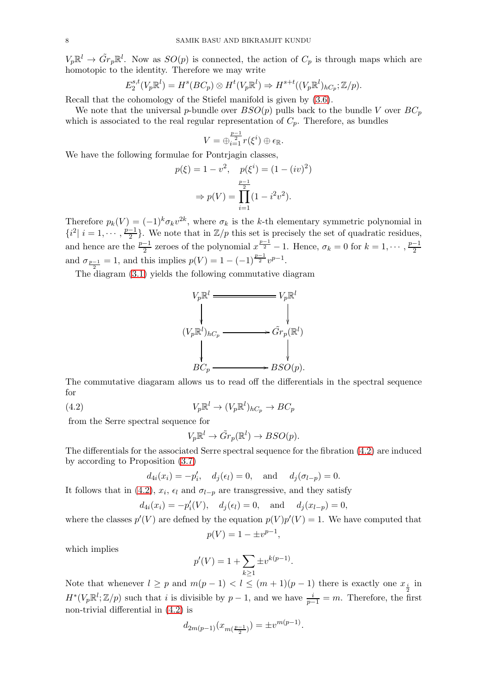$V_p\mathbb{R}^l \to \tilde{Gr}_p\mathbb{R}^l$ . Now as  $SO(p)$  is connected, the action of  $C_p$  is through maps which are homotopic to the identity. Therefore we may write

$$
E_2^{s,t}(V_p\mathbb{R}^l) = H^s(BC_p) \otimes H^t(V_p\mathbb{R}^l) \Rightarrow H^{s+t}((V_p\mathbb{R}^l)_{hC_p}; \mathbb{Z}/p).
$$

Recall that the cohomology of the Stiefel manifold is given by [\(3.6\)](#page-5-3).

We note that the universal p-bundle over  $BSO(p)$  pulls back to the bundle V over  $BC_p$ which is associated to the real regular representation of  $C_p$ . Therefore, as bundles

$$
V=\oplus_{i=1}^{\frac{p-1}{2}}r(\xi^i)\oplus\epsilon_{\mathbb{R}}.
$$

We have the following formulae for Pontrjagin classes,

$$
p(\xi) = 1 - v^2, \quad p(\xi^i) = (1 - (iv))
$$

$$
\Rightarrow p(V) = \prod_{i=1}^{\frac{p-1}{2}} (1 - i^2 v^2).
$$

2 )

Therefore  $p_k(V) = (-1)^k \sigma_k v^{2k}$ , where  $\sigma_k$  is the k-th elementary symmetric polynomial in  $\{i^2 | i = 1, \cdots, \frac{p-1}{2}\}$  $\frac{-1}{2}$ . We note that in  $\mathbb{Z}/p$  this set is precisely the set of quadratic residues, and hence are the  $\frac{p-1}{2}$  zeroes of the polynomial  $x^{\frac{p-1}{2}}-1$ . Hence,  $\sigma_k = 0$  for  $k = 1, \cdots, \frac{p-1}{2}$ 2 and  $\sigma_{\frac{p-1}{2}} = 1$ , and this implies  $p(V) = 1 - (-1)^{\frac{p-1}{2}} v^{p-1}$ .

The diagram [\(3.1\)](#page-4-2) yields the following commutative diagram



The commutative diagaram allows us to read off the differentials in the spectral sequence for

<span id="page-7-0"></span>(4.2) 
$$
V_p \mathbb{R}^l \to (V_p \mathbb{R}^l)_{hC_p} \to BC_p
$$

from the Serre spectral sequence for

$$
V_p \mathbb{R}^l \to \tilde{Gr}_p(\mathbb{R}^l) \to BSO(p).
$$

The differentials for the associated Serre spectral sequence for the fibration [\(4.2\)](#page-7-0) are induced by according to Proposition [\(3.7\)](#page-5-2)

$$
d_{4i}(x_i) = -p'_i
$$
,  $d_j(\epsilon_l) = 0$ , and  $d_j(\sigma_{l-p}) = 0$ .

It follows that in [\(4.2\)](#page-7-0),  $x_i$ ,  $\epsilon_l$  and  $\sigma_{l-p}$  are transgressive, and they satisfy

$$
d_{4i}(x_i) = -p'_i(V)
$$
,  $d_j(\epsilon_i) = 0$ , and  $d_j(x_{l-p}) = 0$ ,

where the classes  $p'(V)$  are defined by the equation  $p(V)p'(V) = 1$ . We have computed that

$$
p(V) = 1 - \pm v^{p-1},
$$

which implies

$$
p'(V) = 1 + \sum_{k \ge 1} \pm v^{k(p-1)}.
$$

Note that whenever  $l \geq p$  and  $m(p-1) < l \leq (m+1)(p-1)$  there is exactly one  $x_i$  in  $H^*(V_p\mathbb{R}^l;\mathbb{Z}/p)$  such that i is divisible by  $p-1$ , and we have  $\frac{i}{p-1}=m$ . Therefore, the first non-trivial differential in [\(4.2\)](#page-7-0) is

$$
d_{2m(p-1)}(x_{m(\frac{p-1}{2})}) = \pm v^{m(p-1)}.
$$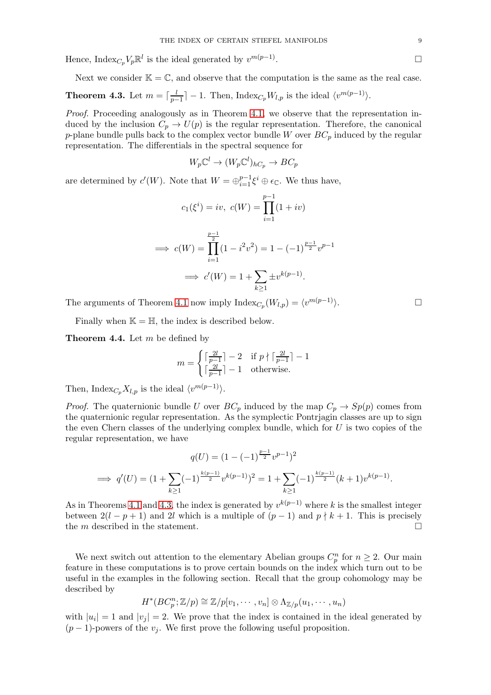Hence,  $\text{Index}_{C_p} V_p \mathbb{R}^l$  is the ideal generated by  $v^{m(p-1)}$ 

<span id="page-8-0"></span>Next we consider  $\mathbb{K} = \mathbb{C}$ , and observe that the computation is the same as the real case. **Theorem 4.3.** Let  $m = \lceil \frac{l}{n} \rceil$  $\frac{l}{p-1}$ ] – 1. Then, Index<sub>Cp</sub>  $W_{l,p}$  is the ideal  $\langle v^{m(p-1)} \rangle$ .

*Proof.* Proceeding analogously as in Theorem [4.1,](#page-6-0) we observe that the representation induced by the inclusion  $C_p \to U(p)$  is the regular representation. Therefore, the canonical p-plane bundle pulls back to the complex vector bundle W over  $BC_p$  induced by the regular representation. The differentials in the spectral sequence for

$$
W_p \mathbb{C}^l \to (W_p \mathbb{C}^l)_{hC_p} \to BC_p
$$

are determined by  $c'(W)$ . Note that  $W = \bigoplus_{i=1}^{p-1} \xi^i \oplus \epsilon_{\mathbb{C}}$ . We thus have,

$$
c_1(\xi^i) = iv, \ c(W) = \prod_{i=1}^{p-1} (1 + iv)
$$

$$
\implies c(W) = \prod_{i=1}^{\frac{p-1}{2}} (1 - i^2 v^2) = 1 - (-1)^{\frac{p-1}{2}} v^{p-1}
$$

$$
\implies c'(W) = 1 + \sum_{k \ge 1} \pm v^{k(p-1)}.
$$

The arguments of Theorem [4.1](#page-6-0) now imply  $\text{Index}_{C_p}(W_{l,p}) = \langle v^{m(p-1)} \rangle$ .

Finally when  $\mathbb{K} = \mathbb{H}$ , the index is described below.

<span id="page-8-1"></span>**Theorem 4.4.** Let  $m$  be defined by

$$
m = \begin{cases} \lceil \frac{2l}{p-1} \rceil - 2 & \text{if } p \nmid \lceil \frac{2l}{p-1} \rceil - 1\\ \lceil \frac{2l}{p-1} \rceil - 1 & \text{otherwise.} \end{cases}
$$

Then, Index ${}_{C_p}X_{l,p}$  is the ideal  $\langle v^{m(p-1)}\rangle$ .

*Proof.* The quaternionic bundle U over  $BC_p$  induced by the map  $C_p \rightarrow Sp(p)$  comes from the quaternionic regular representation. As the symplectic Pontrjagin classes are up to sign the even Chern classes of the underlying complex bundle, which for  $U$  is two copies of the regular representation, we have

$$
q(U) = (1 - (-1)^{\frac{p-1}{2}} v^{p-1})^2
$$
  
\n
$$
\implies q'(U) = (1 + \sum_{k \ge 1} (-1)^{\frac{k(p-1)}{2}} v^{k(p-1)})^2 = 1 + \sum_{k \ge 1} (-1)^{\frac{k(p-1)}{2}} (k+1) v^{k(p-1)}.
$$

As in Theorems [4.1](#page-6-0) and [4.3,](#page-8-0) the index is generated by  $v^{k(p-1)}$  where k is the smallest integer between  $2(l - p + 1)$  and 2l which is a multiple of  $(p - 1)$  and  $p \nmid k + 1$ . This is precisely the m described in the statement.  $\Box$ 

We next switch out attention to the elementary Abelian groups  $C_p^n$  for  $n \geq 2$ . Our main feature in these computations is to prove certain bounds on the index which turn out to be useful in the examples in the following section. Recall that the group cohomology may be described by

$$
H^*(BC_p^n; \mathbb{Z}/p) \cong \mathbb{Z}/p[v_1, \cdots, v_n] \otimes \Lambda_{\mathbb{Z}/p}(u_1, \cdots, u_n)
$$

with  $|u_i|=1$  and  $|v_j|=2$ . We prove that the index is contained in the ideal generated by  $(p-1)$ -powers of the  $v_i$ . We first prove the following useful proposition.

.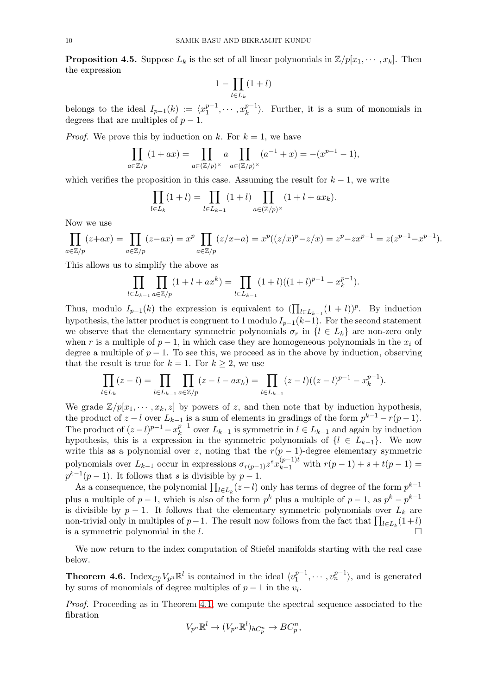<span id="page-9-1"></span>**Proposition 4.5.** Suppose  $L_k$  is the set of all linear polynomials in  $\mathbb{Z}/p[x_1, \dots, x_k]$ . Then the expression

$$
1-\prod_{l\in L_k}(1+l)
$$

belongs to the ideal  $I_{p-1}(k) := \langle x_1^{p-1} \rangle$  $x_1^{p-1}, \cdots, x_k^{p-1}$  $\binom{p-1}{k}$ . Further, it is a sum of monomials in degrees that are multiples of  $p-1$ .

*Proof.* We prove this by induction on k. For  $k = 1$ , we have

$$
\prod_{a \in \mathbb{Z}/p} (1 + ax) = \prod_{a \in (\mathbb{Z}/p)^{\times}} a \prod_{a \in (\mathbb{Z}/p)^{\times}} (a^{-1} + x) = -(x^{p-1} - 1),
$$

which verifies the proposition in this case. Assuming the result for  $k - 1$ , we write

$$
\prod_{l \in L_k} (1+l) = \prod_{l \in L_{k-1}} (1+l) \prod_{a \in (\mathbb{Z}/p)^{\times}} (1+l+ax_k).
$$

Now we use

$$
\prod_{a \in \mathbb{Z}/p} (z+ax) = \prod_{a \in \mathbb{Z}/p} (z-ax) = x^p \prod_{a \in \mathbb{Z}/p} (z/x-a) = x^p((z/x)^p - z/x) = z^p - zx^{p-1} = z(z^{p-1} - x^{p-1}).
$$

This allows us to simplify the above as

$$
\prod_{l \in L_{k-1}} \prod_{a \in \mathbb{Z}/p} (1 + l + ax^k) = \prod_{l \in L_{k-1}} (1 + l) \left( (1 + l)^{p-1} - x_k^{p-1} \right).
$$

Thus, modulo  $I_{p-1}(k)$  the expression is equivalent to  $(\prod_{l\in L_{k-1}}(1+l))^p$ . By induction hypothesis, the latter product is congruent to 1 modulo  $I_{p-1}(k-1)$ . For the second statement we observe that the elementary symmetric polynomials  $\sigma_r$  in  $\{l \in L_k\}$  are non-zero only when r is a multiple of  $p-1$ , in which case they are homogeneous polynomials in the  $x_i$  of degree a multiple of  $p-1$ . To see this, we proceed as in the above by induction, observing that the result is true for  $k = 1$ . For  $k \geq 2$ , we use

$$
\prod_{l \in L_k} (z - l) = \prod_{l \in L_{k-1}} \prod_{a \in \mathbb{Z}/p} (z - l - ax_k) = \prod_{l \in L_{k-1}} (z - l) ((z - l)^{p-1} - x_k^{p-1}).
$$

We grade  $\mathbb{Z}/p[x_1, \dots, x_k, z]$  by powers of z, and then note that by induction hypothesis, the product of  $z - l$  over  $L_{k-1}$  is a sum of elements in gradings of the form  $p^{k-1} - r(p-1)$ . The product of  $(z-l)^{p-1} - x_k^{p-1}$  $k^{p-1}$  over  $L_{k-1}$  is symmetric in  $l \in L_{k-1}$  and again by induction hypothesis, this is a expression in the symmetric polynomials of  $\{l \in L_{k-1}\}.$  We now write this as a polynomial over z, noting that the  $r(p-1)$ -degree elementary symmetric polynomials over  $L_{k-1}$  occur in expressions  $\sigma_{r(p-1)} z^s x_{k-1}^{(p-1)t}$  with  $r(p-1) + s + t(p-1) =$  $p^{k-1}(p-1)$ . It follows that s is divisible by  $p-1$ .

As a consequence, the polynomial  $\prod_{l \in L_k} (z - l)$  only has terms of degree of the form  $p^{k-1}$ plus a multiple of  $p-1$ , which is also of the form  $p^k$  plus a multiple of  $p-1$ , as  $p^k - p^{k-1}$ is divisible by  $p-1$ . It follows that the elementary symmetric polynomials over  $L_k$  are non-trivial only in multiples of  $p-1$ . The result now follows from the fact that  $\prod_{l\in L_k}(1+l)$ is a symmetric polynomial in the l.

We now return to the index computation of Stiefel manifolds starting with the real case below.

<span id="page-9-0"></span>**Theorem 4.6.** Index $_{C_p^n}V_{p^n}\mathbb{R}^l$  is contained in the ideal  $\langle v_1^{p-1} \rangle$  $\binom{p-1}{1}, \cdots, \binom{p-1}{n}$ , and is generated by sums of monomials of degree multiples of  $p-1$  in the  $v_i$ .

*Proof.* Proceeding as in Theorem [4.1,](#page-6-0) we compute the spectral sequence associated to the fibration

$$
V_{p^n} \mathbb{R}^l \to (V_{p^n} \mathbb{R}^l)_{hC_p^n} \to BC_p^n,
$$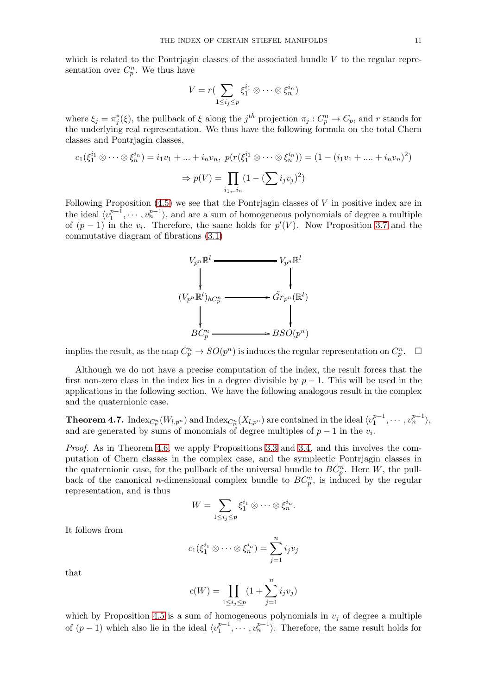which is related to the Pontrjagin classes of the associated bundle  $V$  to the regular representation over  $C_p^n$ . We thus have

$$
V = r\left(\sum_{1 \le i_j \le p} \xi_1^{i_1} \otimes \cdots \otimes \xi_n^{i_n}\right)
$$

where  $\xi_j = \pi_j^*(\xi)$ , the pullback of  $\xi$  along the  $j^{th}$  projection  $\pi_j : C_p^n \to C_p$ , and r stands for the underlying real representation. We thus have the following formula on the total Chern classes and Pontrjagin classes,

$$
c_1(\xi_1^{i_1} \otimes \cdots \otimes \xi_n^{i_n}) = i_1 v_1 + \ldots + i_n v_n, \ p(r(\xi_1^{i_1} \otimes \cdots \otimes \xi_n^{i_n})) = (1 - (i_1 v_1 + \ldots + i_n v_n)^2)
$$

$$
\Rightarrow p(V) = \prod_{i_1, \ldots i_n} (1 - (\sum_i i_j v_j)^2)
$$

Following Proposition [\(4.5\)](#page-9-1) we see that the Pontrjagin classes of V in positive index are in the ideal  $\langle v_1^{p-1} \rangle$  $\binom{p-1}{1}, \cdots, \binom{p-1}{n}$ , and are a sum of homogeneous polynomials of degree a multiple of  $(p-1)$  in the  $v_i$ . Therefore, the same holds for  $p'(V)$ . Now Proposition [3.7](#page-5-2) and the commutative diagram of fibrations [\(3.1\)](#page-4-2)



implies the result, as the map  $C_p^n \to SO(p^n)$  is induces the regular representation on  $C_p^n$  $\Box$ 

Although we do not have a precise computation of the index, the result forces that the first non-zero class in the index lies in a degree divisible by  $p-1$ . This will be used in the applications in the following section. We have the following analogous result in the complex and the quaternionic case.

<span id="page-10-0"></span>Theorem 4.7.  ${\rm Index}_{C_p^n}(W_{l,p^n})$  and  ${\rm Index}_{C_p^n}(X_{l,p^n})$  are contained in the ideal  $\langle v_1^{p-1} \rangle$  $v_1^{p-1}, \cdots, v_n^{p-1} \rangle,$ and are generated by sums of monomials of degree multiples of  $p-1$  in the  $v_i$ .

*Proof.* As in Theorem [4.6,](#page-9-0) we apply Propositions [3.3](#page-4-3) and [3.4,](#page-5-0) and this involves the computation of Chern classes in the complex case, and the symplectic Pontrjagin classes in the quaternionic case, for the pullback of the universal bundle to  $BC_p^n$ . Here W, the pullback of the canonical *n*-dimensional complex bundle to  $BC_p^n$ , is induced by the regular representation, and is thus

$$
W=\sum_{1\leq i_j\leq p}\xi_1^{i_1}\otimes\cdots\otimes\xi_n^{i_n}.
$$

It follows from

$$
c_1(\xi_1^{i_1}\otimes\cdots\otimes\xi_n^{i_n})=\sum_{j=1}^n i_jv_j
$$

that

$$
c(W) = \prod_{1 \le i_j \le p} (1 + \sum_{j=1}^n i_j v_j)
$$

which by Proposition [4.5](#page-9-1) is a sum of homogeneous polynomials in  $v_j$  of degree a multiple of  $(p-1)$  which also lie in the ideal  $\langle v_1^{p-1} \rangle$  $\binom{p-1}{1}, \cdots, \binom{p-1}{n}$ . Therefore, the same result holds for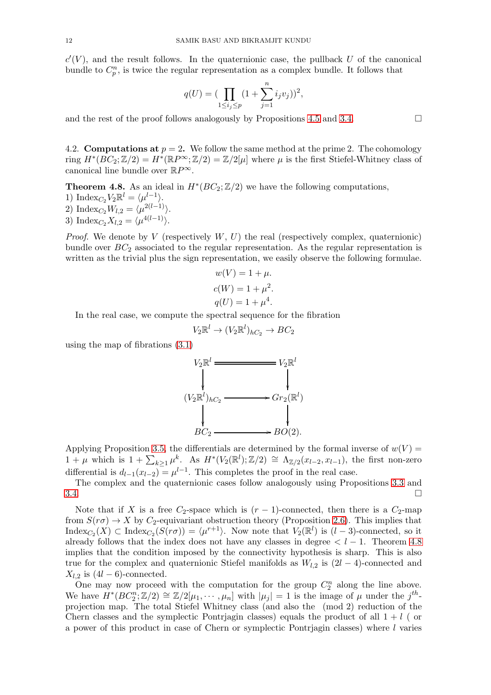$c'(V)$ , and the result follows. In the quaternionic case, the pullback U of the canonical bundle to  $C_p^n$ , is twice the regular representation as a complex bundle. It follows that

$$
q(U) = (\prod_{1 \le i_j \le p} (1 + \sum_{j=1}^n i_j v_j))^2
$$

,

and the rest of the proof follows analogously by Propositions [4.5](#page-9-1) and [3.4.](#page-5-0)  $\Box$ 

4.2. **Computations at**  $p = 2$ . We follow the same method at the prime 2. The cohomology ring  $H^*(BC_2; \mathbb{Z}/2) = H^*(\mathbb{R}P^{\infty}; \mathbb{Z}/2) = \mathbb{Z}/2[\mu]$  where  $\mu$  is the first Stiefel-Whitney class of canonical line bundle over  $\mathbb{R}P^{\infty}$ .

<span id="page-11-0"></span>**Theorem 4.8.** As an ideal in  $H^*(BC_2; \mathbb{Z}/2)$  we have the following computations, 1) Index<sub>C2</sub> $V_2 \mathbb{R}^l = \langle \mu^{l-1} \rangle$ . 2) Index<sub>C<sub>2</sub></sub> $W_{l,2} = \langle \mu^{2(l-1)} \rangle$ . 3) Index<sub>C<sub>2</sub></sub> $X_{l,2} = \langle \mu^{4(l-1)} \rangle$ .

*Proof.* We denote by  $V$  (respectively  $W, U$ ) the real (respectively complex, quaternionic) bundle over  $BC_2$  associated to the regular representation. As the regular representation is written as the trivial plus the sign representation, we easily observe the following formulae.

$$
w(V) = 1 + \mu.
$$
  

$$
c(W) = 1 + \mu^2.
$$
  

$$
q(U) = 1 + \mu^4.
$$

In the real case, we compute the spectral sequence for the fibration

$$
V_2\mathbb{R}^l \to (V_2\mathbb{R}^l)_{hC_2} \to BC_2
$$

using the map of fibrations [\(3.1\)](#page-4-2)



Applying Proposition [3.5,](#page-5-1) the differentials are determined by the formal inverse of  $w(V)$  =  $1 + \mu$  which is  $1 + \sum_{k\geq 1} \mu^k$ . As  $H^*(V_2(\mathbb{R}^l); \mathbb{Z}/2) \cong \Lambda_{\mathbb{Z}/2}(x_{l-2}, x_{l-1})$ , the first non-zero differential is  $d_{l-1}(x_{l-2}) = \mu^{l-1}$ . This completes the proof in the real case.

The complex and the quaternionic cases follow analogously using Propositions [3.3](#page-4-3) and  $3.4.$ 

Note that if X is a free  $C_2$ -space which is  $(r-1)$ -connected, then there is a  $C_2$ -map from  $S(r\sigma) \rightarrow X$  by  $C_2$ -equivariant obstruction theory (Proposition [2.6\)](#page-4-4). This implies that  $\text{Index}_{C_2}(X) \subset \text{Index}_{C_2}(S(r\sigma)) = \langle \mu^{r+1} \rangle$ . Now note that  $V_2(\mathbb{R}^l)$  is  $(l-3)$ -connected, so it already follows that the index does not have any classes in degree  $\lt l-1$ . Theorem [4.8](#page-11-0) implies that the condition imposed by the connectivity hypothesis is sharp. This is also true for the complex and quaternionic Stiefel manifolds as  $W_{l,2}$  is  $(2l - 4)$ -connected and  $X_{l,2}$  is  $(4l - 6)$ -connected.

One may now proceed with the computation for the group  $C_2^n$  along the line above. We have  $H^*(BC_2^n; \mathbb{Z}/2) \cong \mathbb{Z}/2[\mu_1, \cdots, \mu_n]$  with  $|\mu_j| = 1$  is the image of  $\mu$  under the  $j^{th}$ projection map. The total Stiefel Whitney class (and also the (mod 2) reduction of the Chern classes and the symplectic Pontrjagin classes) equals the product of all  $1 + l$  (or a power of this product in case of Chern or symplectic Pontrjagin classes) where l varies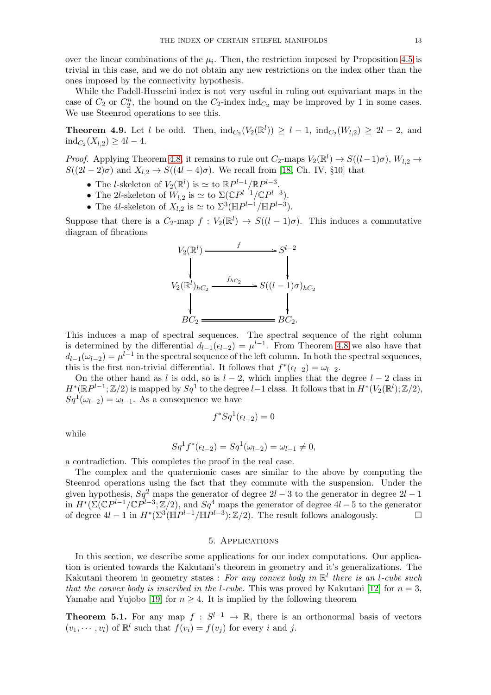over the linear combinations of the  $\mu_i$ . Then, the restriction imposed by Proposition [4.5](#page-9-1) is trivial in this case, and we do not obtain any new restrictions on the index other than the ones imposed by the connectivity hypothesis.

While the Fadell-Husseini index is not very useful in ruling out equivariant maps in the case of  $C_2$  or  $C_2^n$ , the bound on the  $C_2$ -index ind<sub> $C_2$ </sub> may be improved by 1 in some cases. We use Steenrod operations to see this.

<span id="page-12-0"></span>**Theorem 4.9.** Let l be odd. Then,  $\text{ind}_{C_2}(V_2(\mathbb{R}^l)) \geq l-1$ ,  $\text{ind}_{C_2}(W_{l,2}) \geq 2l-2$ , and  $\text{ind}_{C_2}(X_{l,2}) \geq 4l - 4.$ 

*Proof.* Applying Theorem [4.8,](#page-11-0) it remains to rule out  $C_2$ -maps  $V_2(\mathbb{R}^l) \to S((l-1)\sigma)$ ,  $W_{l,2} \to$  $S((2l-2)\sigma)$  and  $X_{l,2} \rightarrow S((4l-4)\sigma)$ . We recall from [\[18,](#page-16-16) Ch. IV, §10] that

- The *l*-skeleton of  $V_2(\mathbb{R}^l)$  is  $\simeq$  to  $\mathbb{R}P^{l-1}/\mathbb{R}P^{l-3}$ .
- The 2l-skeleton of  $W_{l,2}$  is  $\simeq$  to  $\Sigma(\mathbb{C}P^{l-1}/\mathbb{C}P^{l-3})$ .
- The 4l-skeleton of  $X_{l,2}$  is  $\simeq$  to  $\Sigma^3(\mathbb{H}P^{l-1}/\mathbb{H}P^{l-3})$ .

Suppose that there is a  $C_2$ -map  $f: V_2(\mathbb{R}^l) \to S((l-1)\sigma)$ . This induces a commutative diagram of fibrations



This induces a map of spectral sequences. The spectral sequence of the right column is determined by the differential  $d_{l-1}(\epsilon_{l-2}) = \mu^{l-1}$ . From Theorem [4.8](#page-11-0) we also have that  $d_{l-1}(\omega_{l-2}) = \mu^{l-1}$  in the spectral sequence of the left column. In both the spectral sequences, this is the first non-trivial differential. It follows that  $f^*(\epsilon_{l-2}) = \omega_{l-2}$ .

On the other hand as l is odd, so is  $l - 2$ , which implies that the degree  $l - 2$  class in  $H^*(\mathbb{R}P^{l-1};\mathbb{Z}/2)$  is mapped by  $Sq^1$  to the degree  $l-1$  class. It follows that in  $H^*(V_2(\mathbb{R}^l);\mathbb{Z}/2)$ ,  $Sq^1(\omega_{l-2}) = \omega_{l-1}$ . As a consequence we have

$$
f^*Sq^1(\epsilon_{l-2}) = 0
$$

while

$$
Sq^{1} f^{*}(\epsilon_{l-2}) = Sq^{1}(\omega_{l-2}) = \omega_{l-1} \neq 0,
$$

a contradiction. This completes the proof in the real case.

The complex and the quaternionic cases are similar to the above by computing the Steenrod operations using the fact that they commute with the suspension. Under the given hypothesis,  $Sq^2$  maps the generator of degree  $2l - 3$  to the generator in degree  $2l - 1$ in  $H^*(\Sigma(\mathbb{C}P^{l-1}/\mathbb{C}P^{l-3};\mathbb{Z}/2)$ , and  $Sq^4$  maps the generator of degree  $4l-5$  to the generator of degree  $4l-1$  in  $H^*(\Sigma^3(\mathbb{H}P^{l-1}/\mathbb{H}P^{l-3});\mathbb{Z}/2)$ . The result follows analogously. □

## 5. Applications

<span id="page-12-1"></span>In this section, we describe some applications for our index computations. Our application is oriented towards the Kakutani's theorem in geometry and it's generalizations. The Kakutani theorem in geometry states : *For any convex body in* R l *there is an* l*-cube such that the convex body is inscribed in the l-cube.* This was proved by Kakutani [\[12\]](#page-16-17) for  $n = 3$ , Yamabe and Yujobo [\[19\]](#page-16-18) for  $n \geq 4$ . It is implied by the following theorem

**Theorem 5.1.** For any map  $f: S^{l-1} \to \mathbb{R}$ , there is an orthonormal basis of vectors  $(v_1, \dots, v_l)$  of  $\mathbb{R}^l$  such that  $f(v_i) = f(v_j)$  for every i and j.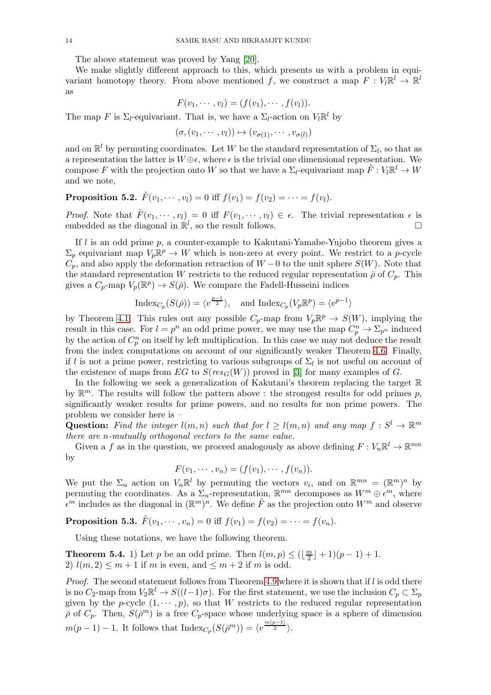The above statement was proved by Yang [\[20\]](#page-16-0).

We make slightly different approach to this, which presents us with a problem in equivariant homotopy theory. From above mentioned f, we construct a map  $F: V_l \mathbb{R}^l \to \mathbb{R}^l$ as

$$
F(v_1,\dots,v_l)=(f(v_1),\dots,f(v_l)).
$$

The map F is  $\Sigma_l$ -equivariant. That is, we have a  $\Sigma_l$ -action on  $V_l \mathbb{R}^l$  by

$$
(\sigma, (v_1, \cdots, v_l)) \mapsto (v_{\sigma(1)}, \cdots, v_{\sigma(l)})
$$

and on  $\mathbb{R}^l$  by permuting coordinates. Let W be the standard representation of  $\Sigma_l$ , so that as a representation the latter is  $W \oplus \epsilon$ , where  $\epsilon$  is the trivial one dimensional representation. We compose F with the projection onto W so that we have a  $\Sigma_l$ -equivariant map  $\tilde{F}: V_l \mathbb{R}^l \to W$ and we note,

<span id="page-13-1"></span>**Proposition 5.2.**  $\tilde{F}(v_1, \dots, v_l) = 0$  iff  $f(v_1) = f(v_2) = \dots = f(v_l)$ .

*Proof.* Note that  $\tilde{F}(v_1, \dots, v_l) = 0$  iff  $F(v_1, \dots, v_l) \in \epsilon$ . The trivial representation  $\epsilon$  is embedded as the diagonal in  $\mathbb{R}^l$ , so the result follows.

If  $l$  is an odd prime p, a counter-example to Kakutani-Yamabe-Yujobo theorem gives a  $\Sigma_p$  equivariant map  $V_p \mathbb{R}^p \to W$  which is non-zero at every point. We restrict to a p-cycle  $C_p$ , and also apply the deformation retraction of  $W - 0$  to the unit sphere  $S(W)$ . Note that the standard representation W restricts to the reduced regular representation  $\bar{\rho}$  of  $C_p$ . This gives a  $C_p$ -map  $V_p(\mathbb{R}^p) \to S(\bar{\rho})$ . We compare the Fadell-Husseini indices

$$
\operatorname{Index}_{C_p}(S(\bar{\rho})) = \langle v^{\frac{p-1}{2}} \rangle, \quad \text{and } \operatorname{Index}_{C_p}(V_p \mathbb{R}^p) = \langle v^{p-1} \rangle
$$

by Theorem [4.1.](#page-6-0) This rules out any possible  $C_p$ -map from  $V_p \mathbb{R}^p \to S(W)$ , implying the result in this case. For  $l = p^n$  an odd prime power, we may use the map  $C_p^n \to \Sigma_{p^n}$  induced by the action of  $C_p^n$  on itself by left multiplication. In this case we may not deduce the result from the index computations on account of our significantly weaker Theorem [4.6.](#page-9-0) Finally, if l is not a prime power, restricting to various subgroups of  $\Sigma_l$  is not useful on account of the existence of maps from EG to  $S(res_G(W))$  proved in [\[3\]](#page-16-19) for many examples of G.

In the following we seek a generalization of Kakutani's theorem replacing the target R by  $\mathbb{R}^m$ . The results will follow the pattern above : the strongest results for odd primes p, significantly weaker results for prime powers, and no results for non prime powers. The problem we consider here is –

Question: Find the integer  $l(m,n)$  such that for  $l \geq l(m,n)$  and any map  $f : S^l \to \mathbb{R}^m$ *there are* n*-mutually orthogonal vectors to the same value.*

Given a f as in the question, we proceed analogously as above defining  $F: V_n \mathbb{R}^l \to \mathbb{R}^{mn}$ by

$$
F(v_1,\dots,v_n)=(f(v_1),\dots,f(v_n)).
$$

We put the  $\Sigma_n$  action on  $V_n \mathbb{R}^l$  by permuting the vectors  $v_i$ , and on  $\mathbb{R}^{mn} = (\mathbb{R}^m)^n$  by permuting the coordinates. As a  $\Sigma_n$ -representation,  $\mathbb{R}^{mn}$  decomposes as  $W^m \oplus \epsilon^m$ , where  $\epsilon^m$  includes as the diagonal in  $(\mathbb{R}^m)^n$ . We define  $\tilde{F}$  as the projection onto  $W^m$  and observe

**Proposition 5.3.**  $\tilde{F}(v_1, \dots, v_n) = 0$  iff  $f(v_1) = f(v_2) = \dots = f(v_n)$ .

Using these notations, we have the following theorem.

<span id="page-13-0"></span>**Theorem 5.4.** 1) Let p be an odd prime. Then  $l(m, p) \leq (\frac{m}{2})$  $\frac{m}{2}$  | + 1)(p-1) + 1. 2)  $l(m, 2) \leq m+1$  if m is even, and  $\leq m+2$  if m is odd.

*Proof.* The second statement follows from Theorem [4.9](#page-12-0) where it is shown that if l is odd there is no  $C_2$ -map from  $V_2\mathbb{R}^l \to S((l-1)\sigma)$ . For the first statement, we use the inclusion  $C_p \subset \Sigma_p$ given by the p-cycle  $(1, \dots, p)$ , so that W restricts to the reduced regular representation  $\bar{\rho}$  of  $C_p$ . Then,  $S(\bar{\rho}^m)$  is a free  $C_p$ -space whose underlying space is a sphere of dimension  $m(p-1)-1$ . It follows that  $\text{Index}_{C_p}(S(\bar{p}^m)) = \langle v^{\frac{m(p-1)}{2}} \rangle$ .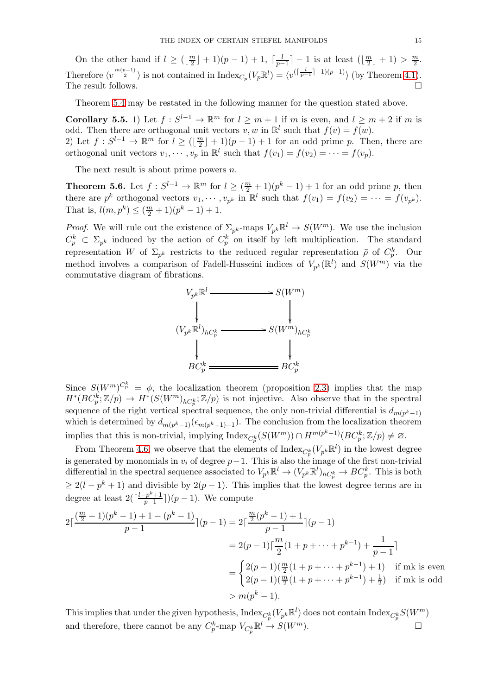On the other hand if  $l \geq \left(\frac{m}{2}\right)$  $\frac{n}{2}$ ] + 1)(p-1) + 1,  $\lceil \frac{l}{p-1} \rceil$  $\frac{l}{p-1}$  | − 1 is at least ( $\lfloor \frac{m}{2} \rfloor$  $\frac{m}{2}$  | + 1) >  $\frac{m}{2}$ . Therefore  $\langle v^{\frac{m(p-1)}{2}} \rangle$  is not contained in  $\text{Index}_{C_p}(V_p \mathbb{R}^l) = \langle v^{(\lceil \frac{l}{p-1} \rceil-1)(p-1)} \rangle$  (by Theorem [4.1\)](#page-6-0). The result follows.  $\Box$ 

Theorem [5.4](#page-13-0) may be restated in the following manner for the question stated above.

<span id="page-14-0"></span>**Corollary 5.5.** 1) Let  $f: S^{l-1} \to \mathbb{R}^m$  for  $l \geq m+1$  if m is even, and  $l \geq m+2$  if m is odd. Then there are orthogonal unit vectors  $v, w$  in  $\mathbb{R}^l$  such that  $f(v) = f(w)$ . 2) Let  $f: S^{l-1} \to \mathbb{R}^m$  for  $l \geq (\lfloor \frac{m}{2} \rfloor)$  $\lfloor \frac{m}{2} \rfloor + 1$  ( $p - 1$ ) + 1 for an odd prime p. Then, there are orthogonal unit vectors  $v_1, \dots, v_p$  in  $\mathbb{R}^l$  such that  $f(v_1) = f(v_2) = \dots = f(v_p)$ .

The next result is about prime powers  $n$ .

<span id="page-14-1"></span>**Theorem 5.6.** Let  $f: S^{l-1} \to \mathbb{R}^m$  for  $l \geq (\frac{m}{2} + 1)(p^k - 1) + 1$  for an odd prime p, then there are  $p^k$  orthogonal vectors  $v_1, \dots, v_{p^k}$  in  $\mathbb{R}^l$  such that  $f(v_1) = f(v_2) = \dots = f(v_{p^k})$ . That is,  $l(m, p^k) \leq (\frac{m}{2} + 1)(p^k - 1) + 1$ .

*Proof.* We will rule out the existence of  $\Sigma_{p^k}$ -maps  $V_{p^k} \mathbb{R}^l \to S(W^m)$ . We use the inclusion  $C_p^k \subset \Sigma_{p^k}$  induced by the action of  $C_p^k$  on itself by left multiplication. The standard representation W of  $\Sigma_{p^k}$  restricts to the reduced regular representation  $\bar{\rho}$  of  $C_p^k$ . Our method involves a comparison of Fadell-Husseini indices of  $V_{p^k}(\mathbb{R}^l)$  and  $S(W^m)$  via the commutative diagram of fibrations.



Since  $S(W^m)^{C_p^k} = \phi$ , the localization theorem (proposition [2.3\)](#page-3-0) implies that the map  $H^*(BC_p^k;\mathbb{Z}/p) \to H^*(S(W^m)_{hC_p^k};\mathbb{Z}/p)$  is not injective. Also observe that in the spectral sequence of the right vertical spectral sequence, the only non-trivial differential is  $d_{m(p^k-1)}$ which is determined by  $d_{m(p^k-1)}(\epsilon_{m(p^k-1)-1})$ . The conclusion from the localization theorem implies that this is non-trivial, implying  $\text{Index}_{C_p^k}(S(W^m)) \cap H^{m(p^k-1)}(BC_p^k; \mathbb{Z}/p) \neq \emptyset$ .

From Theorem [4.6,](#page-9-0) we observe that the elements of  $\text{Index}_{C_p^k}(V_{p^k}\mathbb{R}^l)$  in the lowest degree is generated by monomials in  $v_i$  of degree  $p-1$ . This is also the image of the first non-trivial differential in the spectral sequence associated to  $V_{p^k} \mathbb{R}^l \to (V_{p^k} \mathbb{R}^l)_{hC_p^k} \to BC_p^k$ . This is both  $\geq 2(l - p^k + 1)$  and divisible by  $2(p - 1)$ . This implies that the lowest degree terms are in degree at least  $2(\lceil \frac{l-p^k+1}{p-1} \rceil)$  $\binom{p^{\alpha}+1}{p-1}$ )( $p-1$ ). We compute

$$
2\lceil \frac{\left(\frac{m}{2}+1\right)(p^k-1)+1-(p^k-1)}{p-1}\rceil(p-1) = 2\lceil \frac{\frac{m}{2}(p^k-1)+1}{p-1}\rceil(p-1)
$$
  
=  $2(p-1)\lceil \frac{m}{2}(1+p+\cdots+p^{k-1}) + \frac{1}{p-1}\rceil$   
=  $\begin{cases} 2(p-1)\left(\frac{m}{2}(1+p+\cdots+p^{k-1})+1\right) & \text{if mk is even} \\ 2(p-1)\left(\frac{m}{2}(1+p+\cdots+p^{k-1})+\frac{1}{2}\right) & \text{if mk is odd} \end{cases}$   
>  $m(p^k-1)$ .

This implies that under the given hypothesis,  $\text{Index}_{C_p^k}(V_{p^k}\mathbb{R}^l)$  does not contain  $\text{Index}_{C_p^k}S(W^m)$ and therefore, there cannot be any  $C_p^k$ -map  $V_{C_p^k} \mathbb{R}^l \to S(W^m)$ .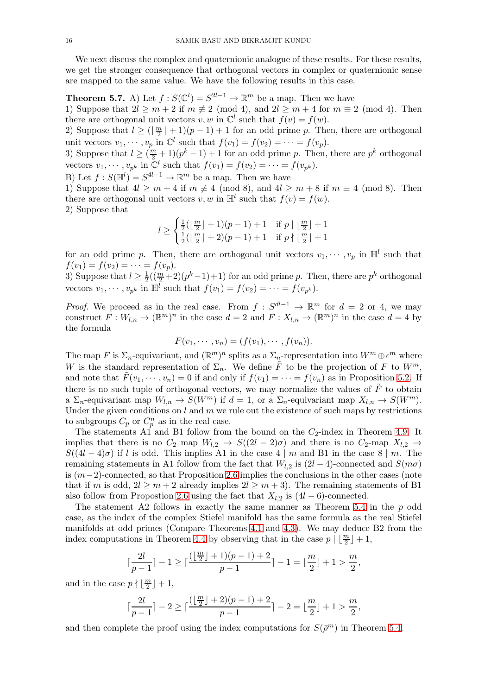We next discuss the complex and quaternionic analogue of these results. For these results, we get the stronger consequence that orthogonal vectors in complex or quaternionic sense are mapped to the same value. We have the following results in this case.

<span id="page-15-0"></span>**Theorem 5.7.** A) Let  $f: S(\mathbb{C}^l) = S^{2l-1} \to \mathbb{R}^m$  be a map. Then we have

1) Suppose that  $2l \ge m+2$  if  $m \not\equiv 2 \pmod{4}$ , and  $2l \ge m+4$  for  $m \equiv 2 \pmod{4}$ . Then there are orthogonal unit vectors  $v, w$  in  $\mathbb{C}^l$  such that  $f(v) = f(w)$ .

2) Suppose that  $l \geq (\lfloor \frac{m}{2} \rfloor)$  $\frac{n}{2}$  + 1)(p - 1) + 1 for an odd prime p. Then, there are orthogonal unit vectors  $v_1, \dots, v_p$  in  $\mathbb{C}^l$  such that  $f(v_1) = f(v_2) = \dots = f(v_p)$ .

3) Suppose that  $l \geq (\frac{m}{2} + 1)(p^k - 1) + 1$  for an odd prime p. Then, there are  $p^k$  orthogonal vectors  $v_1, \dots, v_{p^k}$  in  $\mathbb{C}^l$  such that  $f(v_1) = f(v_2) = \dots = f(v_{p^k})$ .

B) Let  $f: S(\mathbb{H}^l) = S^{4l-1} \to \mathbb{R}^m$  be a map. Then we have

1) Suppose that  $4l \geq m+4$  if  $m \not\equiv 4 \pmod{8}$ , and  $4l \geq m+8$  if  $m \equiv 4 \pmod{8}$ . Then there are orthogonal unit vectors  $v, w$  in  $\mathbb{H}^l$  such that  $f(v) = f(w)$ . 2) Suppose that

$$
l \ge \begin{cases} \frac{1}{2}(\lfloor \frac{m}{2} \rfloor + 1)(p - 1) + 1 & \text{if } p \mid \lfloor \frac{m}{2} \rfloor + 1\\ \frac{1}{2}(\lfloor \frac{m}{2} \rfloor + 2)(p - 1) + 1 & \text{if } p \nmid \lfloor \frac{m}{2} \rfloor + 1 \end{cases}
$$

for an odd prime p. Then, there are orthogonal unit vectors  $v_1, \dots, v_p$  in  $\mathbb{H}^l$  such that  $f(v_1) = f(v_2) = \cdots = f(v_p).$ 

3) Suppose that  $l \geq \frac{1}{2}$  $\frac{1}{2}((\frac{m}{2}+2)(p^k-1)+1)$  for an odd prime p. Then, there are  $p^k$  orthogonal vectors  $v_1, \dots, v_{p^k}$  in  $\mathbb{H}^l$  such that  $f(v_1) = f(v_2) = \dots = f(v_{p^k})$ .

*Proof.* We proceed as in the real case. From  $f: S^{dl-1} \to \mathbb{R}^m$  for  $d = 2$  or 4, we may construct  $F:W_{l,n}\to(\mathbb{R}^m)^n$  in the case  $d=2$  and  $F:X_{l,n}\to(\mathbb{R}^m)^n$  in the case  $d=4$  by the formula

$$
F(v_1, \cdots, v_n) = (f(v_1), \cdots, f(v_n)).
$$

The map F is  $\Sigma_n$ -equivariant, and  $(\mathbb{R}^m)^n$  splits as a  $\Sigma_n$ -representation into  $W^m \oplus \epsilon^m$  where W is the standard representation of  $\Sigma_n$ . We define  $\tilde{F}$  to be the projection of F to  $W^m$ , and note that  $F(v_1, \dots, v_n) = 0$  if and only if  $f(v_1) = \dots = f(v_n)$  as in Proposition [5.2.](#page-13-1) If there is no such tuple of orthogonal vectors, we may normalize the values of  $F$  to obtain a  $\Sigma_n$ -equivariant map  $W_{l,n} \to S(W^m)$  if  $d=1$ , or a  $\Sigma_n$ -equivariant map  $X_{l,n} \to S(W^m)$ . Under the given conditions on  $l$  and  $m$  we rule out the existence of such maps by restrictions to subgroups  $C_p$  or  $C_p^n$  as in the real case.

The statements A1 and B1 follow from the bound on the  $C_2$ -index in Theorem [4.9.](#page-12-0) It implies that there is no  $C_2$  map  $W_{l,2} \to S((2l-2)\sigma)$  and there is no  $C_2$ -map  $X_{l,2} \to$  $S((4l-4)\sigma)$  if l is odd. This implies A1 in the case 4 | m and B1 in the case 8 | m. The remaining statements in A1 follow from the fact that  $W_{l,2}$  is  $(2l-4)$ -connected and  $S(m\sigma)$ is  $(m-2)$ -connected, so that Proposition [2.6](#page-4-4) implies the conclusions in the other cases (note that if m is odd,  $2l \geq m+2$  already implies  $2l \geq m+3$ ). The remaining statements of B1 also follow from Propostion [2.6](#page-4-4) using the fact that  $X_{l,2}$  is  $(4l - 6)$ -connected.

The statement A2 follows in exactly the same manner as Theorem [5.4](#page-13-0) in the p odd case, as the index of the complex Stiefel manifold has the same formula as the real Stiefel manifolds at odd primes (Compare Theorems [4.1](#page-6-0) and [4.3\)](#page-8-0). We may deduce B2 from the index computations in Theorem [4.4](#page-8-1) by observing that in the case  $p \mid \lfloor \frac{m}{2} \rfloor + 1$ ,

$$
\lceil\frac{2l}{p-1}\rceil-1\geq\lceil\frac{(\lfloor\frac{m}{2}\rfloor+1)(p-1)+2}{p-1}\rceil-1=\lfloor\frac{m}{2}\rfloor+1>\frac{m}{2},
$$

and in the case  $p \nmid \frac{m}{2}$  $\frac{n}{2}$  | + 1,

$$
\lceil\frac{2l}{p-1}\rceil-2\geq \lceil\frac{(\lfloor\frac{m}{2}\rfloor+2)(p-1)+2}{p-1}\rceil-2=\lfloor\frac{m}{2}\rfloor+1>\frac{m}{2},
$$

and then complete the proof using the index computations for  $S(\bar{p}^m)$  in Theorem [5.4.](#page-13-0)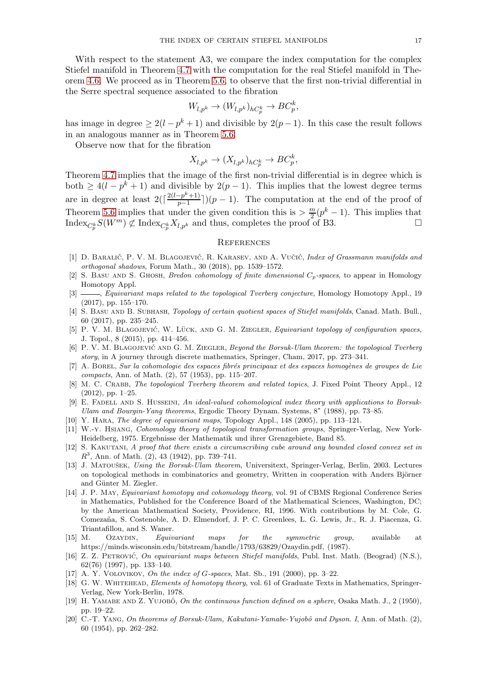With respect to the statement A3, we compare the index computation for the complex Stiefel manifold in Theorem [4.7](#page-10-0) with the computation for the real Stiefel manifold in Theorem [4.6.](#page-9-0) We proceed as in Theorem [5.6,](#page-14-1) to observe that the first non-trivial differential in the Serre spectral sequence associated to the fibration

$$
W_{l,p^k} \to (W_{l,p^k})_{hC_p^k} \to BC_p^k,
$$

has image in degree  $\geq 2(l - p^k + 1)$  and divisible by  $2(p - 1)$ . In this case the result follows in an analogous manner as in Theorem [5.6.](#page-14-1)

Observe now that for the fibration

$$
X_{l,p^k} \to (X_{l,p^k})_{hC_p^k} \to BC_p^k,
$$

Theorem [4.7](#page-10-0) implies that the image of the first non-trivial differential is in degree which is both  $\geq 4(l - p^k + 1)$  and divisible by  $2(p - 1)$ . This implies that the lowest degree terms are in degree at least  $2(\lceil \frac{2(l-p^k+1)}{p-1} \rceil)$  $\frac{(-p^2+1)}{p-1}$ )(p – 1). The computation at the end of the proof of Theorem [5.6](#page-14-1) implies that under the given condition this is  $\geq \frac{m}{2}(p^k-1)$ . This implies that  ${\rm Index}_{C_p^k} S(W^m) \not\subset {\rm Index}_{C_p^k} X_{l,p^k}$  and thus, completes the proof of B3.

#### **REFERENCES**

- <span id="page-16-8"></span>[1] D. BARALIĆ, P. V. M. BLAGOJEVIĆ, R. KARASEV, AND A. VUČIĆ, *Index of Grassmann manifolds and orthogonal shadows*, Forum Math., 30 (2018), pp. 1539–1572.
- <span id="page-16-12"></span>[2] S. Basu and S. Ghosh, *Bredon cohomology of finite dimensional* Cp*-spaces*, to appear in Homology Homotopy Appl.
- <span id="page-16-19"></span>[3] , *Equivariant maps related to the topological Tverberg conjecture*, Homology Homotopy Appl., 19 (2017), pp. 155–170.
- <span id="page-16-14"></span>[4] S. Basu and B. Subhash, *Topology of certain quotient spaces of Stiefel manifolds*, Canad. Math. Bull., 60 (2017), pp. 235–245.
- <span id="page-16-7"></span>[5] P. V. M. BLAGOJEVIĆ, W. LÜCK, AND G. M. ZIEGLER, *Equivariant topology of configuration spaces*, J. Topol., 8 (2015), pp. 414–456.
- <span id="page-16-5"></span>[6] P. V. M. BLAGOJEVIĆ AND G. M. ZIEGLER, *Beyond the Borsuk-Ulam theorem: the topological Tverberg story*, in A journey through discrete mathematics, Springer, Cham, 2017, pp. 273–341.
- <span id="page-16-15"></span>[7] A. Borel, *Sur la cohomologie des espaces fibr´es principaux et des espaces homog`enes de groupes de Lie compacts*, Ann. of Math. (2), 57 (1953), pp. 115–207.
- <span id="page-16-6"></span>[8] M. C. Crabb, *The topological Tverberg theorem and related topics*, J. Fixed Point Theory Appl., 12 (2012), pp. 1–25.
- <span id="page-16-2"></span>[9] E. FADELL AND S. HUSSEINI, *An ideal-valued cohomological index theory with applications to Borsuk-Ulam and Bourgin-Yang theorems*, Ergodic Theory Dynam. Systems, 8<sup>∗</sup> (1988), pp. 73–85.
- <span id="page-16-13"></span><span id="page-16-9"></span>[10] Y. Hara, *The degree of equivariant maps*, Topology Appl., 148 (2005), pp. 113–121.
- [11] W.-y. Hsiang, *Cohomology theory of topological transformation groups*, Springer-Verlag, New York-Heidelberg, 1975. Ergebnisse der Mathematik und ihrer Grenzgebiete, Band 85.
- <span id="page-16-17"></span>[12] S. Kakutani, *A proof that there exists a circumscribing cube around any bounded closed convex set in*  $R^3$ , Ann. of Math. (2), 43 (1942), pp. 739–741.
- <span id="page-16-1"></span>[13] J. MATOUŠEK, *Using the Borsuk-Ulam theorem*, Universitext, Springer-Verlag, Berlin, 2003. Lectures on topological methods in combinatorics and geometry, Written in cooperation with Anders Björner and Günter M. Ziegler.
- <span id="page-16-11"></span>[14] J. P. May, *Equivariant homotopy and cohomology theory*, vol. 91 of CBMS Regional Conference Series in Mathematics, Published for the Conference Board of the Mathematical Sciences, Washington, DC; by the American Mathematical Society, Providence, RI, 1996. With contributions by M. Cole, G. Comezaña, S. Costenoble, A. D. Elmendorf, J. P. C. Greenlees, L. G. Lewis, Jr., R. J. Piacenza, G. Triantafillou, and S. Waner.
- <span id="page-16-3"></span>[15] M. OzayDIN, *Equivariant maps for the symmetric group*, available at https://minds.wisconsin.edu/bitstream/handle/1793/63829/Ozaydin.pdf, (1987).
- <span id="page-16-10"></span>[16] Z. Z. Petrovic´, *On equivariant maps between Stiefel manifolds*, Publ. Inst. Math. (Beograd) (N.S.), 62(76) (1997), pp. 133–140.
- <span id="page-16-16"></span><span id="page-16-4"></span>[17] A. Y. Volovikov, *On the index of* G*-spaces*, Mat. Sb., 191 (2000), pp. 3–22.
- [18] G. W. Whitehead, *Elements of homotopy theory*, vol. 61 of Graduate Texts in Mathematics, Springer-Verlag, New York-Berlin, 1978.
- <span id="page-16-18"></span>[19] H. YAMABE AND Z. YUJOBÔ, *On the continuous function defined on a sphere*, Osaka Math. J., 2 (1950), pp. 19–22.
- <span id="page-16-0"></span>[20] C.-T. Yang, *On theorems of Borsuk-Ulam, Kakutani-Yamabe-Yujobô and Dyson. I*, Ann. of Math. (2), 60 (1954), pp. 262–282.